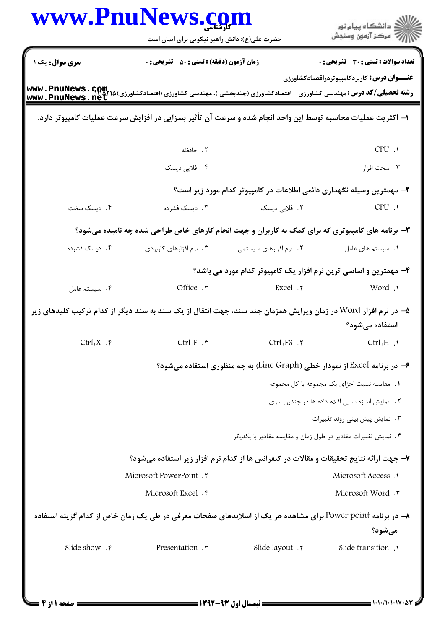|                               | www.PnuNews.com<br>حضرت علی(ع): دانش راهبر نیکویی برای ایمان است                                               |                                                                | ر دانشڪاه پيام نور<br>اڳ مرڪز آزمون وسنڊش                                 |
|-------------------------------|----------------------------------------------------------------------------------------------------------------|----------------------------------------------------------------|---------------------------------------------------------------------------|
| سری سوال: یک ۱                | <b>زمان آزمون (دقیقه) : تستی : 50 ٪ تشریحی : 0</b>                                                             |                                                                | <b>تعداد سوالات : تستی : 30 ٪ تشریحی : 0</b>                              |
| www.PnuNews.net               |                                                                                                                |                                                                | <b>عنـــوان درس :</b> کاربردکامپیوتردراقتصادکشاورزی                       |
|                               | ا– اکثریت عملیات محاسبه توسط این واحد انجام شده و سرعت آن تأثیر بسزایی در افزایش سرعت عملیات کامپیوتر دارد.    |                                                                |                                                                           |
|                               | ٢. حافظه                                                                                                       |                                                                | CPU .1                                                                    |
|                               | ۰۴ فلاپی دیسک                                                                                                  |                                                                | ۰۳ سخت افزار                                                              |
|                               |                                                                                                                |                                                                | ۲– مهمترین وسیله نگهداری دائمی اطلاعات در کامپیوتر کدام مورد زیر است؟     |
| ۰۴ دیسک سخت                   | ۰۳ ديسک فشرده                                                                                                  | ۲.  فلاپی دیسک                                                 | CPU.1                                                                     |
|                               | ۳- برنامه های کامپیوتری که برای کمک به کاربران و جهت انجام کارهای خاص طراحی شده چه نامیده میشود؟               |                                                                |                                                                           |
| ۰۴ ديسک فشرده                 | ۰۳ نرم افزارهای کاربردی                                                                                        | ۰۲ نرم افزارهای سیستمی                                         | ٠١. سيستم هاى عامل                                                        |
|                               |                                                                                                                |                                                                | ۴- مهمترین و اساسی ترین نرم افزار یک کامپیوتر کدام مورد می باشد؟          |
| ۰۴ سیستم عامل                 |                                                                                                                | Office . T Excel . Y                                           | Vord .                                                                    |
|                               | ۵– در نرم افزار Word در زمان ویرایش همزمان چند سند، جهت انتقال از یک سند به سند دیگر از کدام ترکیب کلیدهای زیر |                                                                | استفاده میشود؟                                                            |
| Ctrl+X $\cdot$ $\mathfrak{f}$ | $Ctrl_+F$ . ۳                                                                                                  | $Ctrl_+FG$ . ۲                                                 | $Ctrl_{+}H$ .                                                             |
|                               |                                                                                                                |                                                                | ۶- در برنامه Excel از نمودار خطی (Line Graph) به چه منظوری استفاده میشود؟ |
|                               |                                                                                                                |                                                                | ٠١. مقايسه نسبت اجزاي يک مجموعه با کل مجموعه                              |
|                               |                                                                                                                |                                                                | ۲. نمایش اندازه نسبی اقلام داده ها در چندین سری                           |
|                               |                                                                                                                |                                                                | ٠٣ نمايش پيش بيني روند تغييرات                                            |
|                               |                                                                                                                | ۴ . نمایش تغییرات مقادیر در طول زمان و مقایسه مقادیر با یکدیگر |                                                                           |
|                               | ۷- جهت ارائه نتایج تحقیقات و مقالات در کنفرانس ها از کدام نرم افزار زیر استفاده میشود؟                         |                                                                |                                                                           |
|                               | Microsoft PowerPoint . ٢                                                                                       |                                                                | Microsoft Access .1                                                       |
|                               | Microsoft Excel . ۴                                                                                            |                                                                | Microsoft Word . ٣                                                        |
|                               | ۸− در برنامه Power point برای مشاهده هر یک از اسلایدهای صفحات معرفی در طی یک زمان خاص از کدام گزینه استفاده    |                                                                |                                                                           |
|                               |                                                                                                                |                                                                | ميشود؟                                                                    |
| Slide show . ۴                | Presentation . ٣                                                                                               | Slide layout . ٢                                               | Slide transition .                                                        |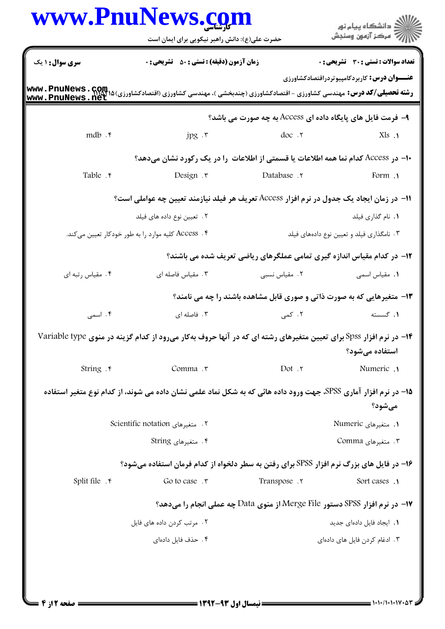|                               | www.PnuNews.com<br>حضرت علی(ع): دانش راهبر نیکویی برای ایمان است                                                                                           |                     | الار دانشگاه پيام نور<br>الارا مرکز آزمون وسنجش                             |
|-------------------------------|------------------------------------------------------------------------------------------------------------------------------------------------------------|---------------------|-----------------------------------------------------------------------------|
| <b>سری سوال : ۱ یک</b>        | <b>زمان آزمون (دقیقه) : تستی : 50 ٪ تشریحی : 0</b>                                                                                                         |                     | <b>تعداد سوالات : تستی : 30 ٪ تشریحی : 0</b>                                |
|                               | <b>رشته تحصیلی/کد درس:</b> مهندسی کشاورزی - اقتصادکشاورزی (چندبخشی )، مهندسی کشاورزی (اقتصادکشاورزی) <b>۱۵ Avwv . PnuNews . Gom</b><br>www . PnuNews . net |                     | <b>عنـــوان درس:</b> کاربردکامپیوتردراقتصادکشاورزی                          |
|                               |                                                                                                                                                            |                     | ۹- فرمت فایل های پایگاه داده ای Access به چه صورت می باشد؟                  |
| mdb $.\,^{\circ}$             | $jpg \cdot r$                                                                                                                                              | doc.r               | $Xls$ .                                                                     |
|                               | ∙ا– در Access کدام نما همه اطلاعات یا قسمتی از اطلاعات ً را در یک رکورد نشان میدهد؟                                                                        |                     |                                                                             |
| Table . r                     | Design .r                                                                                                                                                  | <b>Database</b> . T | rorm .                                                                      |
|                               | ا1− در زمان ایجاد یک جدول در نرم افزار Access تعریف هر فیلد نیازمند تعیین چه عواملی است؟                                                                   |                     |                                                                             |
|                               | ۰۲ تعیین نوع داده های فیلد                                                                                                                                 |                     | ٠١. نام گذاري فيلد                                                          |
|                               | ۴ . Access کلیه موارد را به طور خودکار تعیین میکند.                                                                                                        |                     | ۰۳ نامگذاری فیلد و تعیین نوع دادههای فیلد                                   |
|                               |                                                                                                                                                            |                     | ۱۲- در کدام مقیاس اندازه گیری تمامی عملگرهای ریاضی تعریف شده می باشند؟      |
| ۰۴ مقیاس رتبه ای              | ۰۳ مقیاس فاصله ای                                                                                                                                          | ۰۲ مقیاس نسبی       | ٠١. مقياس اسمى                                                              |
|                               |                                                                                                                                                            |                     | ۱۳- متغیرهایی که به صورت ذاتی و صوری قابل مشاهده باشند را چه می نامند؟      |
| ۰۴ اسمی                       | ۰۳ فاصله ای                                                                                                                                                | ۲. کمی              | ۰۱ گسسته                                                                    |
|                               | ۱۴- در نرم افزار Spss برای تعیین متغیرهای رشته ای که در آنها حروف بهکار میرود از کدام گزینه در منوی Variable type                                          |                     | استفاده میشود؟                                                              |
| String . F                    | Comma .r                                                                                                                                                   | Dot . ٢             | Numeric .                                                                   |
|                               | 1۵– در نرم افزار آماری SPSS، جهت ورود داده هائی که به شکل نماد علمی نشان داده می شوند، از کدام نوع متغیر استفاده                                           |                     |                                                                             |
|                               |                                                                                                                                                            |                     | ميشود؟                                                                      |
|                               | ۲. متغیرهای Scientific notation                                                                                                                            |                     | ۱. متغیرهای Numeric                                                         |
|                               | ۰۴ متغیرهای String                                                                                                                                         |                     | ۰۳ متغیرهای Comma                                                           |
|                               | ۱۶- در فایل های بزرگ نرم افزار SPSS برای رفتن به سطر دلخواه از کدام فرمان استفاده میشود؟                                                                   |                     |                                                                             |
| Split file $.$ $\mathfrak{f}$ | Go to case $.7$                                                                                                                                            | Transpose . ٢       | Sort cases .                                                                |
|                               |                                                                                                                                                            |                     | 17- در نرم افزار SPSS دستور Merge File از منوی Data چه عملی انجام را میدهد؟ |
|                               | ٢. مرتب كردن داده هاى فايل                                                                                                                                 |                     | 1. ایجاد فایل دادهای جدید                                                   |
|                               | ۴. حذف فایل دادهای                                                                                                                                         |                     | ۰۳ ادغام کردن فایل های دادهای                                               |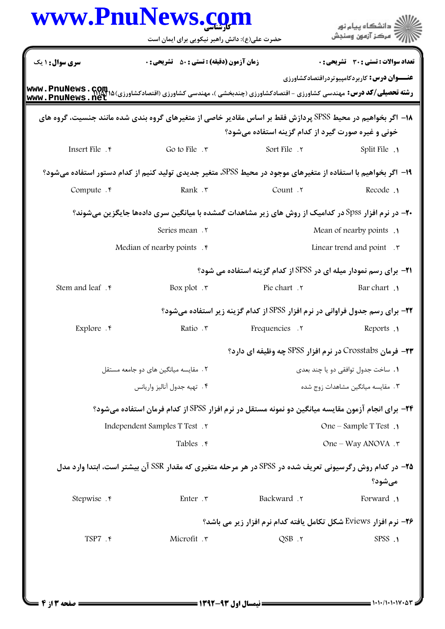|                             | www.PnuNews.co<br>حضرت علی(ع): دانش راهبر نیکویی برای ایمان است                                                                                                                                                                             |                                                                                      | دانشگاه پیام نور<br>مركز آزمون وسنجش               |
|-----------------------------|---------------------------------------------------------------------------------------------------------------------------------------------------------------------------------------------------------------------------------------------|--------------------------------------------------------------------------------------|----------------------------------------------------|
| <b>سری سوال : ۱ یک</b>      | <b>زمان آزمون (دقیقه) : تستی : 50 ٪ تشریحی : 0</b>                                                                                                                                                                                          |                                                                                      | تعداد سوالات : تستي : 30 - تشريحي : 0              |
| www.PnuNews.net             | <b>رشته تحصیلی/کد درس:</b> مهندسی کشاورزی - اقتصادکشاورزی (چندبخشی )، مهندسی کشاورزی (اقتصادکشاورزی) ۱۵ M <b>ww . PnuNews</b><br>مسیح الله می است به این است است کشاورزی از با استفاد کشاورزی (چندبخشی )، مهندسی کشاورزی (اقتصادکشار) استفا |                                                                                      | <b>عنـــوان درس:</b> کاربردکامپیوتردراقتصادکشاورزی |
|                             | ۱۸− اگر بخواهیم در محیط SPSS پردازش فقط بر اساس مقادیر خاصی از متغیرهای گروه بندی شده مانند جنسیت، گروه های                                                                                                                                 | خونی و غیره صورت گیرد از کدام گزینه استفاده میشود؟                                   |                                                    |
| Insert File . ۴             | Go to File $.7$                                                                                                                                                                                                                             | Sort File . ٢                                                                        | Split File .                                       |
|                             | 1۹- اگر بخواهیم با استفاده از متغیرهای موجود در محیط SPSS، متغیر جدیدی تولید کنیم از کدام دستور استفاده میشود؟                                                                                                                              |                                                                                      |                                                    |
| Compute . F                 | Rank . ٣                                                                                                                                                                                                                                    | Count .Y                                                                             | Recode .                                           |
|                             | <b>+۲-</b> در نرم افزار Spss در کدامیک از روش های زیر مشاهدات گمشده با میانگین سری دادهها جایگزین میشوند؟                                                                                                                                   |                                                                                      |                                                    |
|                             | Series mean .Y                                                                                                                                                                                                                              |                                                                                      | Mean of nearby points .                            |
|                             | Median of nearby points . $\mathfrak k$                                                                                                                                                                                                     |                                                                                      | Linear trend and point $\cdot$ $\cdot$             |
|                             |                                                                                                                                                                                                                                             | <b>۲۱</b> - برای رسم نمودار میله ای در SPSS از کدام گزینه استفاده می شود؟            |                                                    |
| Stem and leaf . r           | Box plot $\cdot$ $\mathsf{r}$                                                                                                                                                                                                               | Pie chart . ٢                                                                        | <b>Bar</b> chart .                                 |
|                             |                                                                                                                                                                                                                                             | <b>۲۲</b> - برای رسم جدول فراوانی در نرم افزار SPSS از کدام گزینه زیر استفاده میشود؟ |                                                    |
| Explore $.$                 | Ratio ۲                                                                                                                                                                                                                                     | <b>Frequencies</b> .                                                                 | Reports .                                          |
|                             |                                                                                                                                                                                                                                             | <b>۲۳</b> - فرمان Crosstabs در نرم افزار SPSS چه وظیفه ای دارد؟                      |                                                    |
|                             | ٢. مقايسه ميانگين هاي دو جامعه مستقل                                                                                                                                                                                                        |                                                                                      | ٠١. ساخت جدول توافقي دو يا چند بعدي                |
| ۴. تهيه جدول آناليز واريانس |                                                                                                                                                                                                                                             |                                                                                      | ۰۳ مقایسه میانگین مشاهدات زوج شده                  |
|                             | <b>۲۴</b> - برای انجام آزمون مقایسه میانگین دو نمونه مستقل در نرم افزار SPSS از کدام فرمان استفاده میشود؟                                                                                                                                   |                                                                                      |                                                    |
|                             | Independent Samples T Test.                                                                                                                                                                                                                 |                                                                                      | One – Sample T Test .                              |
|                             | Tables . r                                                                                                                                                                                                                                  |                                                                                      | One – Way ANOVA . ٣                                |
|                             | <b>۲۵</b> – در کدام روش رگرسیونی تعریف شده در SPSS در هر مرحله متغیری که مقدار SSR آن بیشتر است، ابتدا وارد مدل                                                                                                                             |                                                                                      | مي شود؟                                            |
| Stepwise . e                | Enter . ٣                                                                                                                                                                                                                                   | Backward .٢                                                                          | Forward .                                          |
|                             |                                                                                                                                                                                                                                             | <b>۲۶- نرم افزار Eviews شکل تکامل یافته کدام نرم افزار زیر می باشد؟</b>              |                                                    |
| TSP7 . ۴                    | Microfit . ٣                                                                                                                                                                                                                                | $QSB$ . $\tau$                                                                       | SPSS .1                                            |
|                             |                                                                                                                                                                                                                                             |                                                                                      |                                                    |
|                             |                                                                                                                                                                                                                                             |                                                                                      |                                                    |
|                             |                                                                                                                                                                                                                                             |                                                                                      |                                                    |